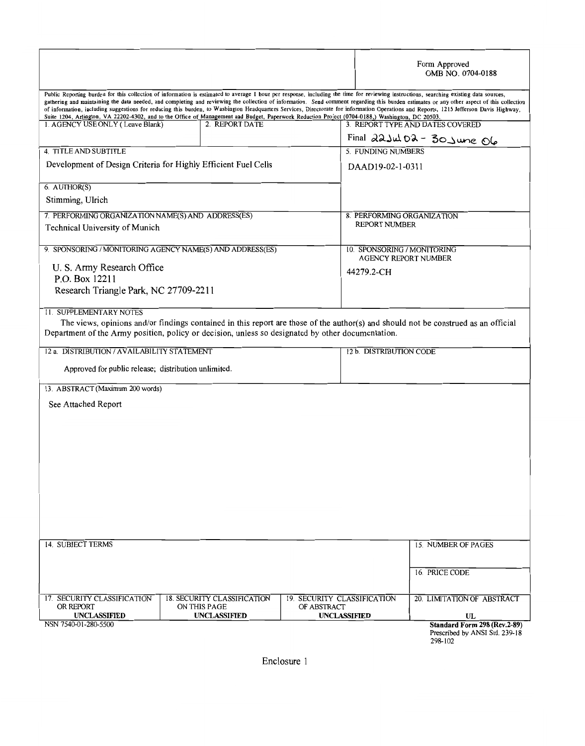|                                                                |                                                                                                                                                  |                                            | Form Approved<br>OMB NO. 0704-0188                                                                                                                                                                                                                                                                                                                                                                                                                                                                                                                                              |  |  |
|----------------------------------------------------------------|--------------------------------------------------------------------------------------------------------------------------------------------------|--------------------------------------------|---------------------------------------------------------------------------------------------------------------------------------------------------------------------------------------------------------------------------------------------------------------------------------------------------------------------------------------------------------------------------------------------------------------------------------------------------------------------------------------------------------------------------------------------------------------------------------|--|--|
|                                                                | Suite 1204, Arlington, VA 22202-4302, and to the Office of Management and Budget, Paperwork Reduction Project (0704-0188,) Washington, DC 20503. |                                            | Public Reporting burden for this collection of information is estimated to average I hour per response, including the time for reviewing instructions, searching existing data sources,<br>gathering and maintaining the data needed, and completing and reviewing the collection of information. Send comment regarding this burden estimates or any other aspect of this collection<br>of information, including suggestions for reducing this burden, to Wasbington Headquarters Services, Directorate for information Operations and Reports, 1215 Jefferson Davis Highway, |  |  |
| 1. AGENCY USE ONLY (Leave Blank)                               | 2. REPORT DATE                                                                                                                                   |                                            | 3. REPORT TYPE AND DATES COVERED                                                                                                                                                                                                                                                                                                                                                                                                                                                                                                                                                |  |  |
| 4. TITLE AND SUBTITLE                                          |                                                                                                                                                  |                                            | Final $22$ Jul 02 - 30 June 06<br>5. FUNDING NUMBERS                                                                                                                                                                                                                                                                                                                                                                                                                                                                                                                            |  |  |
| Development of Design Criteria for Highly Efficient Fuel Cells |                                                                                                                                                  |                                            | DAAD19-02-1-0311                                                                                                                                                                                                                                                                                                                                                                                                                                                                                                                                                                |  |  |
| 6. AUTHOR(S)<br>Stimming, Ulrich                               |                                                                                                                                                  |                                            |                                                                                                                                                                                                                                                                                                                                                                                                                                                                                                                                                                                 |  |  |
| 7. PERFORMING ORGANIZATION NAME(S) AND ADDRESS(ES)             |                                                                                                                                                  |                                            | 8. PERFORMING ORGANIZATION                                                                                                                                                                                                                                                                                                                                                                                                                                                                                                                                                      |  |  |
| Technical University of Munich                                 |                                                                                                                                                  |                                            | <b>REPORT NUMBER</b>                                                                                                                                                                                                                                                                                                                                                                                                                                                                                                                                                            |  |  |
| 9. SPONSORING / MONITORING AGENCY NAME(S) AND ADDRESS(ES)      |                                                                                                                                                  |                                            | 10. SPONSORING / MONITORING<br><b>AGENCY REPORT NUMBER</b>                                                                                                                                                                                                                                                                                                                                                                                                                                                                                                                      |  |  |
| U. S. Army Research Office                                     |                                                                                                                                                  |                                            | 44279.2-CH                                                                                                                                                                                                                                                                                                                                                                                                                                                                                                                                                                      |  |  |
| P.O. Box 12211<br>Research Triangle Park, NC 27709-2211        |                                                                                                                                                  |                                            |                                                                                                                                                                                                                                                                                                                                                                                                                                                                                                                                                                                 |  |  |
|                                                                |                                                                                                                                                  |                                            |                                                                                                                                                                                                                                                                                                                                                                                                                                                                                                                                                                                 |  |  |
| 11. SUPPLEMENTARY NOTES                                        |                                                                                                                                                  |                                            |                                                                                                                                                                                                                                                                                                                                                                                                                                                                                                                                                                                 |  |  |
|                                                                | Department of the Army position, policy or decision, unless so designated by other documentation.                                                |                                            | The views, opinions and/or findings contained in this report are those of the author(s) and should not be construed as an official                                                                                                                                                                                                                                                                                                                                                                                                                                              |  |  |
| 12 a. DISTRIBUTION / AVAILABILITY STATEMENT                    |                                                                                                                                                  |                                            | 12 b. DISTRIBUTION CODE                                                                                                                                                                                                                                                                                                                                                                                                                                                                                                                                                         |  |  |
| Approved for public release; distribution unlimited.           |                                                                                                                                                  |                                            |                                                                                                                                                                                                                                                                                                                                                                                                                                                                                                                                                                                 |  |  |
|                                                                |                                                                                                                                                  |                                            |                                                                                                                                                                                                                                                                                                                                                                                                                                                                                                                                                                                 |  |  |
| 13. ABSTRACT (Maximum 200 words)                               |                                                                                                                                                  |                                            |                                                                                                                                                                                                                                                                                                                                                                                                                                                                                                                                                                                 |  |  |
| See Attached Report                                            |                                                                                                                                                  |                                            |                                                                                                                                                                                                                                                                                                                                                                                                                                                                                                                                                                                 |  |  |
|                                                                |                                                                                                                                                  |                                            |                                                                                                                                                                                                                                                                                                                                                                                                                                                                                                                                                                                 |  |  |
|                                                                |                                                                                                                                                  |                                            |                                                                                                                                                                                                                                                                                                                                                                                                                                                                                                                                                                                 |  |  |
|                                                                |                                                                                                                                                  |                                            |                                                                                                                                                                                                                                                                                                                                                                                                                                                                                                                                                                                 |  |  |
|                                                                |                                                                                                                                                  |                                            |                                                                                                                                                                                                                                                                                                                                                                                                                                                                                                                                                                                 |  |  |
|                                                                |                                                                                                                                                  |                                            |                                                                                                                                                                                                                                                                                                                                                                                                                                                                                                                                                                                 |  |  |
|                                                                |                                                                                                                                                  |                                            |                                                                                                                                                                                                                                                                                                                                                                                                                                                                                                                                                                                 |  |  |
|                                                                |                                                                                                                                                  |                                            |                                                                                                                                                                                                                                                                                                                                                                                                                                                                                                                                                                                 |  |  |
|                                                                |                                                                                                                                                  |                                            |                                                                                                                                                                                                                                                                                                                                                                                                                                                                                                                                                                                 |  |  |
| 14. SUBJECT TERMS                                              |                                                                                                                                                  |                                            | <b>15. NUMBER OF PAGES</b>                                                                                                                                                                                                                                                                                                                                                                                                                                                                                                                                                      |  |  |
|                                                                |                                                                                                                                                  |                                            |                                                                                                                                                                                                                                                                                                                                                                                                                                                                                                                                                                                 |  |  |
|                                                                |                                                                                                                                                  |                                            | 16. PRICE CODE                                                                                                                                                                                                                                                                                                                                                                                                                                                                                                                                                                  |  |  |
| 17. SECURITY CLASSIFICATION<br>OR REPORT                       | 18. SECURITY CLASSIFICATION<br>ON THIS PAGE                                                                                                      | 19. SECURITY CLASSIFICATION<br>OF ABSTRACT | 20. LIMITATION OF ABSTRACT                                                                                                                                                                                                                                                                                                                                                                                                                                                                                                                                                      |  |  |
| UNCLASSIFIED<br>NSN 7540-01-280-5500                           | UNCLASSIFIED                                                                                                                                     | <b>UNCLASSIFIED</b>                        | UL                                                                                                                                                                                                                                                                                                                                                                                                                                                                                                                                                                              |  |  |
|                                                                |                                                                                                                                                  |                                            | Standard Form 298 (Rev.2-89)<br>Prescribed by ANSI Std. 239-18<br>298-102                                                                                                                                                                                                                                                                                                                                                                                                                                                                                                       |  |  |

Enclosure 1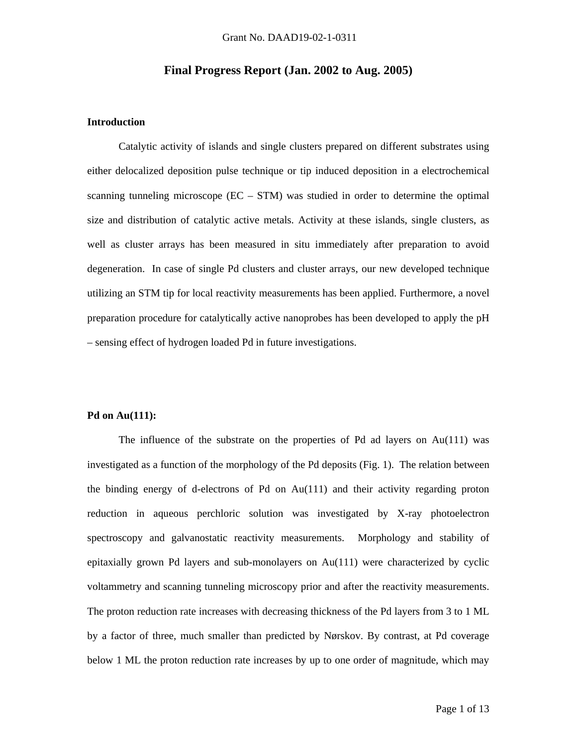## **Final Progress Report (Jan. 2002 to Aug. 2005)**

#### **Introduction**

 Catalytic activity of islands and single clusters prepared on different substrates using either delocalized deposition pulse technique or tip induced deposition in a electrochemical scanning tunneling microscope  $(EC - STM)$  was studied in order to determine the optimal size and distribution of catalytic active metals. Activity at these islands, single clusters, as well as cluster arrays has been measured in situ immediately after preparation to avoid degeneration. In case of single Pd clusters and cluster arrays, our new developed technique utilizing an STM tip for local reactivity measurements has been applied. Furthermore, a novel preparation procedure for catalytically active nanoprobes has been developed to apply the pH – sensing effect of hydrogen loaded Pd in future investigations.

#### **Pd on Au(111):**

The influence of the substrate on the properties of Pd ad layers on  $Au(111)$  was investigated as a function of the morphology of the Pd deposits (Fig. 1). The relation between the binding energy of d-electrons of Pd on Au(111) and their activity regarding proton reduction in aqueous perchloric solution was investigated by X-ray photoelectron spectroscopy and galvanostatic reactivity measurements. Morphology and stability of epitaxially grown Pd layers and sub-monolayers on Au(111) were characterized by cyclic voltammetry and scanning tunneling microscopy prior and after the reactivity measurements. The proton reduction rate increases with decreasing thickness of the Pd layers from 3 to 1 ML by a factor of three, much smaller than predicted by Nørskov. By contrast, at Pd coverage below 1 ML the proton reduction rate increases by up to one order of magnitude, which may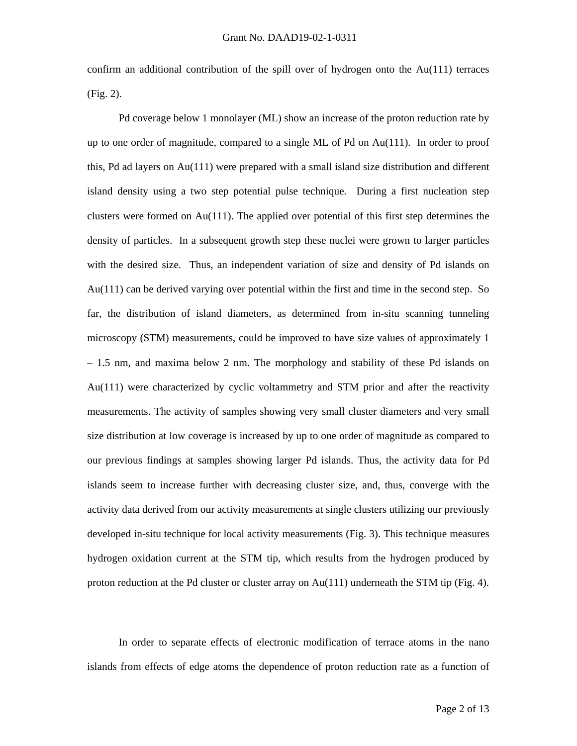confirm an additional contribution of the spill over of hydrogen onto the  $Au(111)$  terraces (Fig. 2).

 Pd coverage below 1 monolayer (ML) show an increase of the proton reduction rate by up to one order of magnitude, compared to a single ML of Pd on  $Au(111)$ . In order to proof this, Pd ad layers on Au(111) were prepared with a small island size distribution and different island density using a two step potential pulse technique. During a first nucleation step clusters were formed on Au(111). The applied over potential of this first step determines the density of particles. In a subsequent growth step these nuclei were grown to larger particles with the desired size. Thus, an independent variation of size and density of Pd islands on Au(111) can be derived varying over potential within the first and time in the second step. So far, the distribution of island diameters, as determined from in-situ scanning tunneling microscopy (STM) measurements, could be improved to have size values of approximately 1 – 1.5 nm, and maxima below 2 nm. The morphology and stability of these Pd islands on Au(111) were characterized by cyclic voltammetry and STM prior and after the reactivity measurements. The activity of samples showing very small cluster diameters and very small size distribution at low coverage is increased by up to one order of magnitude as compared to our previous findings at samples showing larger Pd islands. Thus, the activity data for Pd islands seem to increase further with decreasing cluster size, and, thus, converge with the activity data derived from our activity measurements at single clusters utilizing our previously developed in-situ technique for local activity measurements (Fig. 3). This technique measures hydrogen oxidation current at the STM tip, which results from the hydrogen produced by proton reduction at the Pd cluster or cluster array on Au(111) underneath the STM tip (Fig. 4).

 In order to separate effects of electronic modification of terrace atoms in the nano islands from effects of edge atoms the dependence of proton reduction rate as a function of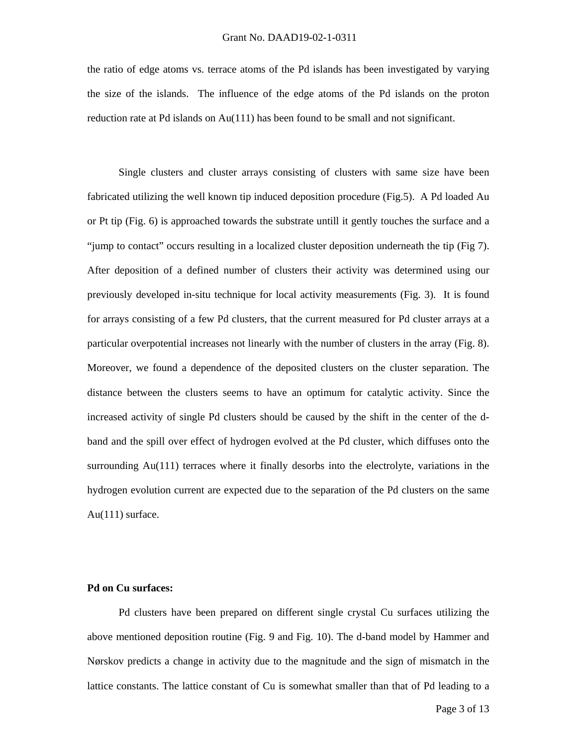#### Grant No. DAAD19-02-1-0311

the ratio of edge atoms vs. terrace atoms of the Pd islands has been investigated by varying the size of the islands. The influence of the edge atoms of the Pd islands on the proton reduction rate at Pd islands on Au(111) has been found to be small and not significant.

 Single clusters and cluster arrays consisting of clusters with same size have been fabricated utilizing the well known tip induced deposition procedure (Fig.5). A Pd loaded Au or Pt tip (Fig. 6) is approached towards the substrate untill it gently touches the surface and a "jump to contact" occurs resulting in a localized cluster deposition underneath the tip (Fig 7). After deposition of a defined number of clusters their activity was determined using our previously developed in-situ technique for local activity measurements (Fig. 3). It is found for arrays consisting of a few Pd clusters, that the current measured for Pd cluster arrays at a particular overpotential increases not linearly with the number of clusters in the array (Fig. 8). Moreover, we found a dependence of the deposited clusters on the cluster separation. The distance between the clusters seems to have an optimum for catalytic activity. Since the increased activity of single Pd clusters should be caused by the shift in the center of the dband and the spill over effect of hydrogen evolved at the Pd cluster, which diffuses onto the surrounding Au(111) terraces where it finally desorbs into the electrolyte, variations in the hydrogen evolution current are expected due to the separation of the Pd clusters on the same Au(111) surface.

## **Pd on Cu surfaces:**

 Pd clusters have been prepared on different single crystal Cu surfaces utilizing the above mentioned deposition routine (Fig. 9 and Fig. 10). The d-band model by Hammer and Nørskov predicts a change in activity due to the magnitude and the sign of mismatch in the lattice constants. The lattice constant of Cu is somewhat smaller than that of Pd leading to a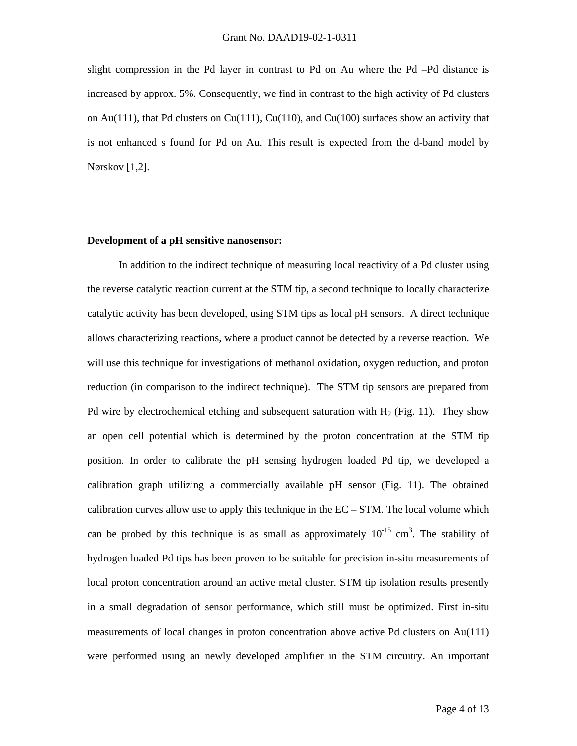slight compression in the Pd layer in contrast to Pd on Au where the Pd –Pd distance is increased by approx. 5%. Consequently, we find in contrast to the high activity of Pd clusters on Au(111), that Pd clusters on Cu(111), Cu(110), and Cu(100) surfaces show an activity that is not enhanced s found for Pd on Au. This result is expected from the d-band model by Nørskov [1,2].

#### **Development of a pH sensitive nanosensor:**

 In addition to the indirect technique of measuring local reactivity of a Pd cluster using the reverse catalytic reaction current at the STM tip, a second technique to locally characterize catalytic activity has been developed, using STM tips as local pH sensors. A direct technique allows characterizing reactions, where a product cannot be detected by a reverse reaction. We will use this technique for investigations of methanol oxidation, oxygen reduction, and proton reduction (in comparison to the indirect technique). The STM tip sensors are prepared from Pd wire by electrochemical etching and subsequent saturation with  $H_2$  (Fig. 11). They show an open cell potential which is determined by the proton concentration at the STM tip position. In order to calibrate the pH sensing hydrogen loaded Pd tip, we developed a calibration graph utilizing a commercially available pH sensor (Fig. 11). The obtained calibration curves allow use to apply this technique in the EC – STM. The local volume which can be probed by this technique is as small as approximately  $10^{-15}$  cm<sup>3</sup>. The stability of hydrogen loaded Pd tips has been proven to be suitable for precision in-situ measurements of local proton concentration around an active metal cluster. STM tip isolation results presently in a small degradation of sensor performance, which still must be optimized. First in-situ measurements of local changes in proton concentration above active Pd clusters on Au(111) were performed using an newly developed amplifier in the STM circuitry. An important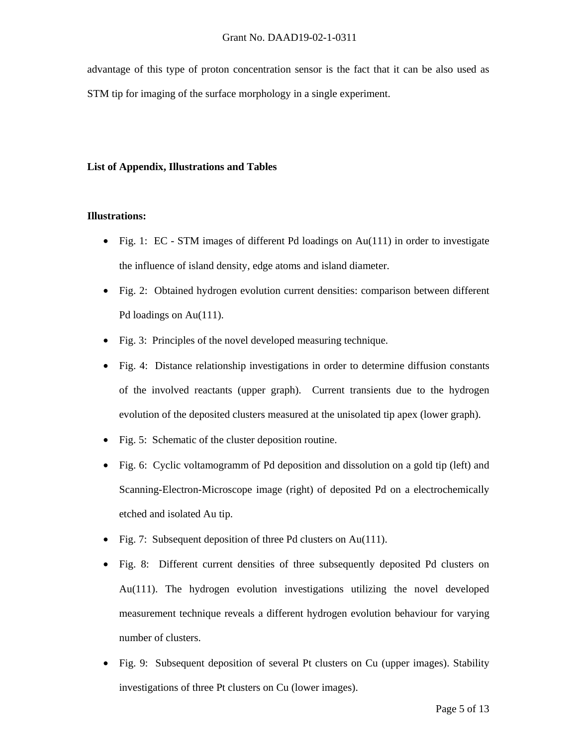advantage of this type of proton concentration sensor is the fact that it can be also used as STM tip for imaging of the surface morphology in a single experiment.

### **List of Appendix, Illustrations and Tables**

#### **Illustrations:**

- Fig. 1: EC STM images of different Pd loadings on Au(111) in order to investigate the influence of island density, edge atoms and island diameter.
- Fig. 2: Obtained hydrogen evolution current densities: comparison between different Pd loadings on Au(111).
- Fig. 3: Principles of the novel developed measuring technique.
- Fig. 4: Distance relationship investigations in order to determine diffusion constants of the involved reactants (upper graph). Current transients due to the hydrogen evolution of the deposited clusters measured at the unisolated tip apex (lower graph).
- Fig. 5: Schematic of the cluster deposition routine.
- Fig. 6: Cyclic voltamogramm of Pd deposition and dissolution on a gold tip (left) and Scanning-Electron-Microscope image (right) of deposited Pd on a electrochemically etched and isolated Au tip.
- Fig. 7: Subsequent deposition of three Pd clusters on Au(111).
- Fig. 8: Different current densities of three subsequently deposited Pd clusters on Au(111). The hydrogen evolution investigations utilizing the novel developed measurement technique reveals a different hydrogen evolution behaviour for varying number of clusters.
- Fig. 9: Subsequent deposition of several Pt clusters on Cu (upper images). Stability investigations of three Pt clusters on Cu (lower images).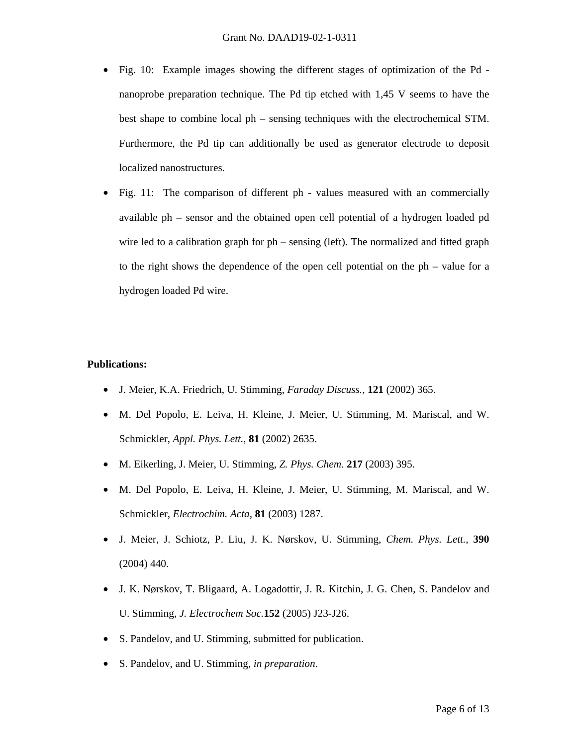- Fig. 10: Example images showing the different stages of optimization of the Pd nanoprobe preparation technique. The Pd tip etched with 1,45 V seems to have the best shape to combine local ph – sensing techniques with the electrochemical STM. Furthermore, the Pd tip can additionally be used as generator electrode to deposit localized nanostructures.
- Fig. 11: The comparison of different ph values measured with an commercially available ph – sensor and the obtained open cell potential of a hydrogen loaded pd wire led to a calibration graph for ph – sensing (left). The normalized and fitted graph to the right shows the dependence of the open cell potential on the ph – value for a hydrogen loaded Pd wire.

## **Publications:**

- J. Meier, K.A. Friedrich, U. Stimming, *Faraday Discuss.*, **121** (2002) 365.
- M. Del Popolo, E. Leiva, H. Kleine, J. Meier, U. Stimming, M. Mariscal, and W. Schmickler, *Appl. Phys. Lett.*, **81** (2002) 2635.
- M. Eikerling, J. Meier, U. Stimming, *Z. Phys. Chem.* **217** (2003) 395.
- M. Del Popolo, E. Leiva, H. Kleine, J. Meier, U. Stimming, M. Mariscal, and W. Schmickler, *Electrochim. Acta,* **81** (2003) 1287.
- J. Meier, J. Schiotz, P. Liu, J. K. Nørskov, U. Stimming, *Chem. Phys. Lett.,* **390** (2004) 440.
- J. K. Nørskov, T. Bligaard, A. Logadottir, J. R. Kitchin, J. G. Chen, S. Pandelov and U. Stimming, *J. Electrochem Soc.***152** (2005) J23-J26.
- S. Pandelov, and U. Stimming, submitted for publication.
- S. Pandelov, and U. Stimming, *in preparation*.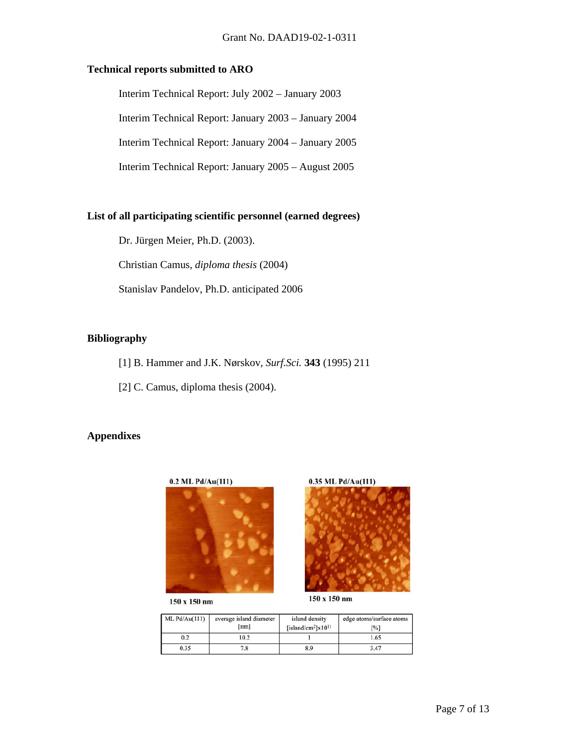### **Technical reports submitted to ARO**

Interim Technical Report: July 2002 – January 2003

Interim Technical Report: January 2003 – January 2004

Interim Technical Report: January 2004 – January 2005

Interim Technical Report: January 2005 – August 2005

### **List of all participating scientific personnel (earned degrees)**

Dr. Jürgen Meier, Ph.D. (2003).

Christian Camus, *diploma thesis* (2004)

Stanislav Pandelov, Ph.D. anticipated 2006

## **Bibliography**

[1] B. Hammer and J.K. Nørskov, *Surf.Sci.* **343** (1995) 211

[2] C. Camus, diploma thesis (2004).

# **Appendixes**



 $150 \ge 150$  nm





150 x 150 nm

| ML Pd/Au(111) | average island diameter<br>[nm]<br>10.2<br>7.8 | island density<br>[island/cm <sup>2</sup> ] $x10$ <sup>11</sup> | edge atoms/surface atoms<br>$\lceil \% \rceil$<br>1.65 |
|---------------|------------------------------------------------|-----------------------------------------------------------------|--------------------------------------------------------|
| 0.2           |                                                |                                                                 |                                                        |
| 0.35          |                                                | 8.9                                                             | 3.47                                                   |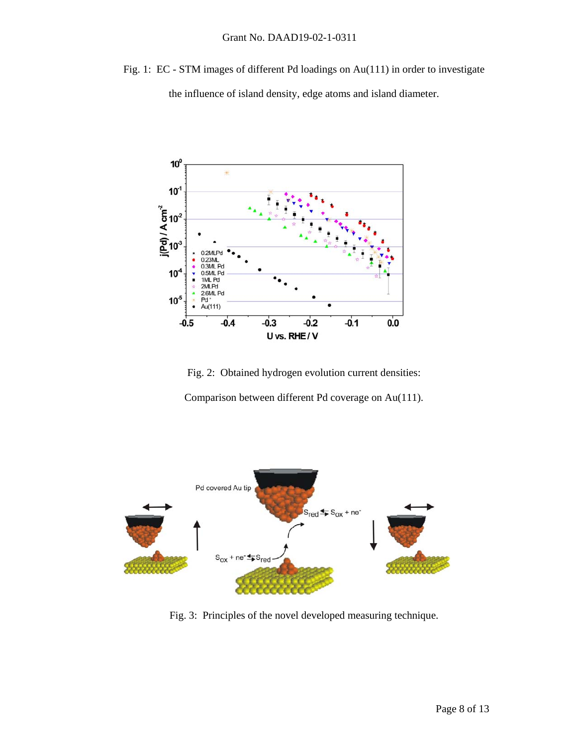Fig. 1: EC - STM images of different Pd loadings on Au(111) in order to investigate

the influence of island density, edge atoms and island diameter.



Fig. 2: Obtained hydrogen evolution current densities: Comparison between different Pd coverage on Au(111).



Fig. 3: Principles of the novel developed measuring technique.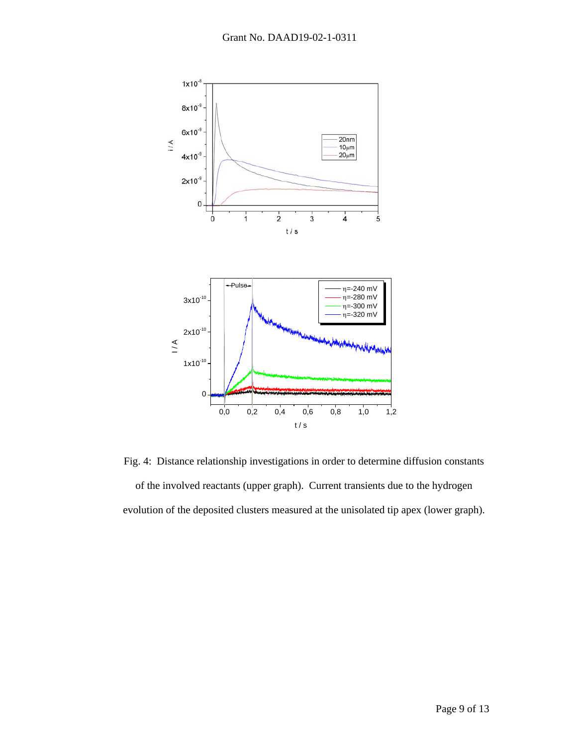

Fig. 4: Distance relationship investigations in order to determine diffusion constants of the involved reactants (upper graph). Current transients due to the hydrogen evolution of the deposited clusters measured at the unisolated tip apex (lower graph).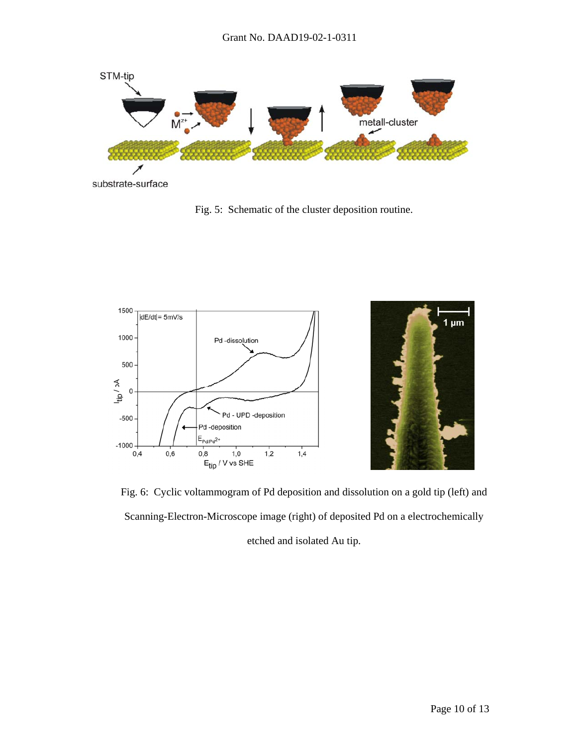

substrate-surface

Fig. 5: Schematic of the cluster deposition routine.





Fig. 6: Cyclic voltammogram of Pd deposition and dissolution on a gold tip (left) and Scanning-Electron-Microscope image (right) of deposited Pd on a electrochemically etched and isolated Au tip.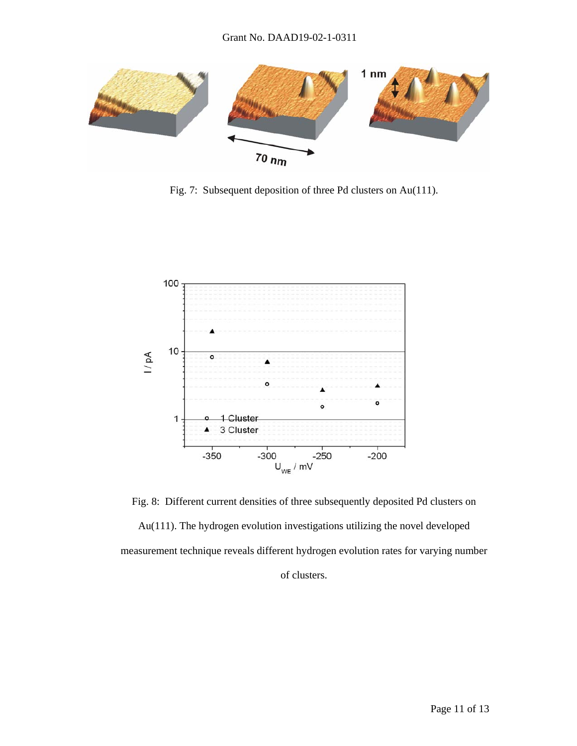

Fig. 7: Subsequent deposition of three Pd clusters on Au(111).



Fig. 8: Different current densities of three subsequently deposited Pd clusters on Au(111). The hydrogen evolution investigations utilizing the novel developed measurement technique reveals different hydrogen evolution rates for varying number of clusters.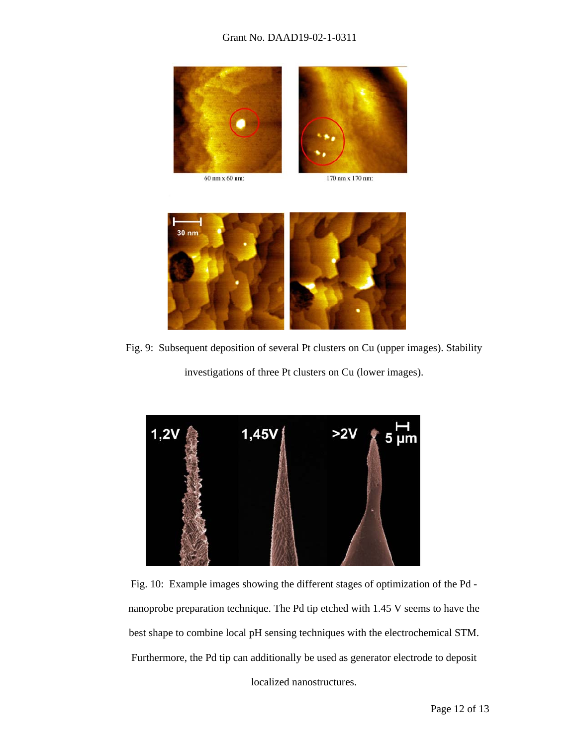### Grant No. DAAD19-02-1-0311



60 nm x 60 nm:





Fig. 9: Subsequent deposition of several Pt clusters on Cu (upper images). Stability

investigations of three Pt clusters on Cu (lower images).



Fig. 10: Example images showing the different stages of optimization of the Pd nanoprobe preparation technique. The Pd tip etched with 1.45 V seems to have the best shape to combine local pH sensing techniques with the electrochemical STM. Furthermore, the Pd tip can additionally be used as generator electrode to deposit

localized nanostructures.